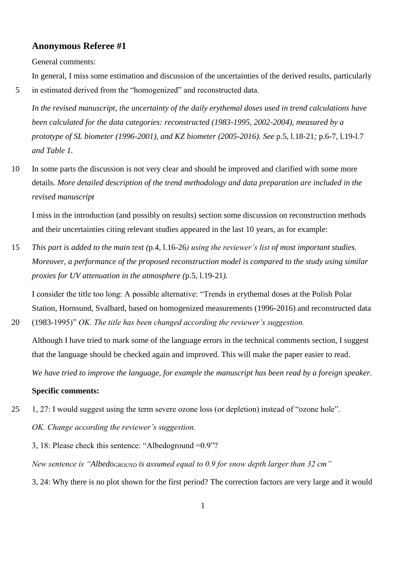# **Anonymous Referee #1**

General comments:

In general, I miss some estimation and discussion of the uncertainties of the derived results, particularly 5 in estimated derived from the "homogenized" and reconstructed data.

*In the revised manuscript, the uncertainty of the daily erythemal doses used in trend calculations have been calculated for the data categories: reconstructed (1983-1995, 2002-2004), measured by a prototype of SL biometer (1996-2001), and KZ biometer (2005-2016). See* p.5, l.18-21*;* p.6-7, l.19-l.7 *and Table 1.* 

10 In some parts the discussion is not very clear and should be improved and clarified with some more details. *More detailed description of the trend methodology and data preparation are included in the revised manuscript*

I miss in the introduction (and possibly on results) section some discussion on reconstruction methods and their uncertainties citing relevant studies appeared in the last 10 years, as for example:

15 *This part is added to the main text (*p.4, l.16-26*) using the reviewer's list of most important studies. Moreover, a performance of the proposed reconstruction model is compared to the study using similar proxies for UV attenuation in the atmosphere (*p.5, l.19-21*).*

I consider the title too long: A possible alternative: "Trends in erythemal doses at the Polish Polar Station, Hornsund, Svalbard, based on homogenized measurements (1996-2016) and reconstructed data 20 (1983-1995)" *OK. The title has been changed according the reviewer's suggestion.*

Although I have tried to mark some of the language errors in the technical comments section, I suggest that the language should be checked again and improved. This will make the paper easier to read.

*We have tried to improve the language, for example the manuscript has been read by a foreign speaker.*

## **Specific comments:**

25 1, 27: I would suggest using the term severe ozone loss (or depletion) instead of "ozone hole". *OK. Change according the reviewer's suggestion.*

3, 18: Please check this sentence: "Albedoground =0.9"?

*New sentence is "AlbedoGROUND is assumed equal to 0.9 for snow depth larger than 32 cm"*

3, 24: Why there is no plot shown for the first period? The correction factors are very large and it would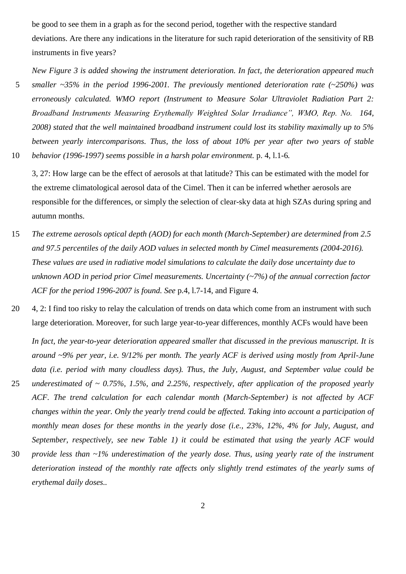be good to see them in a graph as for the second period, together with the respective standard deviations. Are there any indications in the literature for such rapid deterioration of the sensitivity of RB instruments in five years?

*New Figure 3 is added showing the instrument deterioration. In fact, the deterioration appeared much*  5 *smaller ~35% in the period 1996-2001. The previously mentioned deterioration rate (~250%) was erroneously calculated. WMO report (Instrument to Measure Solar Ultraviolet Radiation Part 2: Broadband Instruments Measuring Erythemally Weighted Solar Irradiance", WMO, Rep. No. 164, 2008) stated that the well maintained broadband instrument could lost its stability maximally up to 5% between yearly intercomparisons. Thus, the loss of about 10% per year after two years of stable*  10 *behavior (1996-1997) seems possible in a harsh polar environment.* p. 4, l.1-6*.*

3, 27: How large can be the effect of aerosols at that latitude? This can be estimated with the model for the extreme climatological aerosol data of the Cimel. Then it can be inferred whether aerosols are responsible for the differences, or simply the selection of clear-sky data at high SZAs during spring and autumn months.

- 15 *The extreme aerosols optical depth (AOD) for each month (March-September) are determined from 2.5 and 97.5 percentiles of the daily AOD values in selected month by Cimel measurements (2004-2016). These values are used in radiative model simulations to calculate the daily dose uncertainty due to unknown AOD in period prior Cimel measurements. Uncertainty (~7%) of the annual correction factor ACF for the period 1996-2007 is found. See* p.4, l.7-14*,* and Figure 4*.*
- 20 4, 2: I find too risky to relay the calculation of trends on data which come from an instrument with such large deterioration. Moreover, for such large year-to-year differences, monthly ACFs would have been

*In fact, the year-to-year deterioration appeared smaller that discussed in the previous manuscript. It is around ~9% per year, i.e. 9/12% per month. The yearly ACF is derived using mostly from April-June data (i.e. period with many cloudless days). Thus, the July, August, and September value could be* 

- 25 *underestimated of ~ 0.75%, 1.5%, and 2.25%, respectively, after application of the proposed yearly ACF. The trend calculation for each calendar month (March-September) is not affected by ACF changes within the year. Only the yearly trend could be affected. Taking into account a participation of monthly mean doses for these months in the yearly dose (i.e., 23%, 12%, 4% for July, August, and September, respectively, see new Table 1) it could be estimated that using the yearly ACF would*
- 30 *provide less than ~1% underestimation of the yearly dose. Thus, using yearly rate of the instrument deterioration instead of the monthly rate affects only slightly trend estimates of the yearly sums of erythemal daily doses..*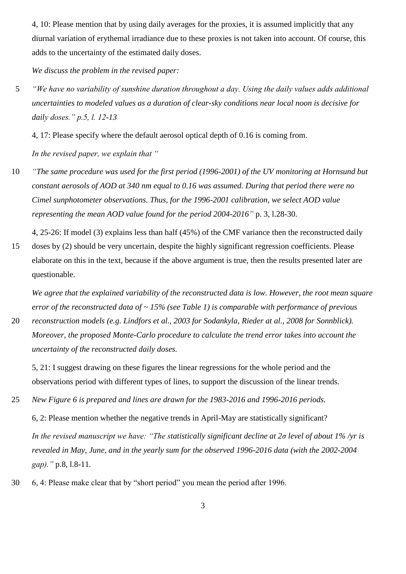4, 10: Please mention that by using daily averages for the proxies, it is assumed implicitly that any diurnal variation of erythemal irradiance due to these proxies is not taken into account. Of course, this adds to the uncertainty of the estimated daily doses.

*We discuss the problem in the revised paper:*

5 *"We have no variability of sunshine duration throughout a day. Using the daily values adds additional uncertainties to modeled values as a duration of clear-sky conditions near local noon is decisive for daily doses." p.5, l. 12-13*

4, 17: Please specify where the default aerosol optical depth of 0.16 is coming from.

*In the revised paper, we explain that "*

10 *"The same procedure was used for the first period (1996-2001) of the UV monitoring at Hornsund but constant aerosols of AOD at 340 nm equal to 0.16 was assumed. During that period there were no Cimel sunphotometer observations. Thus, for the 1996-2001 calibration, we select AOD value representing the mean AOD value found for the period 2004-2016"* p. 3, l.28-30.

4, 25-26: If model (3) explains less than half (45%) of the CMF variance then the reconstructed daily

15 doses by (2) should be very uncertain, despite the highly significant regression coefficients. Please elaborate on this in the text, because if the above argument is true, then the results presented later are questionable.

*We agree that the explained variability of the reconstructed data is low. However, the root mean square error of the reconstructed data of ~ 15% (see Table 1) is comparable with performance of previous* 

20 *reconstruction models (e.g. Lindfors et al., 2003 for Sodankyla, Rieder at al., 2008 for Sonnblick). Moreover, the proposed Monte-Carlo procedure to calculate the trend error takes into account the uncertainty of the reconstructed daily doses.* 

5, 21: I suggest drawing on these figures the linear regressions for the whole period and the observations period with different types of lines, to support the discussion of the linear trends.

25 *New Figure 6 is prepared and lines are drawn for the 1983-2016 and 1996-2016 periods.*

6, 2: Please mention whether the negative trends in April-May are statistically significant? *In the revised manuscript we have: "The statistically significant decline at 2σ level of about 1% /yr is revealed in May, June, and in the yearly sum for the observed 1996-2016 data (with the 2002-2004 gap)."* p.8, l.8-11*.*

30 6, 4: Please make clear that by "short period" you mean the period after 1996.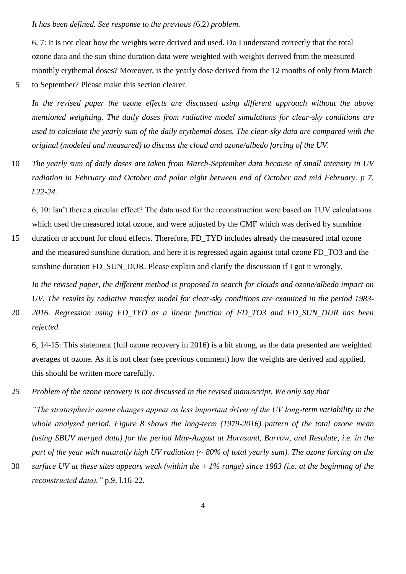### *It has been defined. See response to the previous (*6.2*) problem*.

6, 7: It is not clear how the weights were derived and used. Do I understand correctly that the total ozone data and the sun shine duration data were weighted with weights derived from the measured monthly erythemal doses? Moreover, is the yearly dose derived from the 12 months of only from March 5 to September? Please make this section clearer.

*In the revised paper the ozone effects are discussed using different approach without the above mentioned weighting. The daily doses from radiative model simulations for clear-sky conditions are used to calculate the yearly sum of the daily erythemal doses. The clear-sky data are compared with the original (modeled and measured) to discuss the cloud and ozone/albedo forcing of the UV.*

10 *The yearly sum of daily doses are taken from March-September data because of small intensity in UV radiation in February and October and polar night between end of October and mid February. p 7. l.22-24.*

6, 10: Isn't there a circular effect? The data used for the reconstruction were based on TUV calculations which used the measured total ozone, and were adjusted by the CMF which was derived by sunshine

15 duration to account for cloud effects. Therefore, FD\_TYD includes already the measured total ozone and the measured sunshine duration, and here it is regressed again against total ozone FD\_TO3 and the sunshine duration FD\_SUN\_DUR. Please explain and clarify the discussion if I got it wrongly.

*In the revised paper, the different method is proposed to search for clouds and ozone/albedo impact on UV. The results by radiative transfer model for clear-sky conditions are examined in the period 1983-* 20 *2016*. *Regression using FD\_TYD as a linear function of FD\_TO3 and FD\_SUN\_DUR has been* 

*rejected.*

6, 14-15: This statement (full ozone recovery in 2016) is a bit strong, as the data presented are weighted averages of ozone. As it is not clear (see previous comment) how the weights are derived and applied, this should be written more carefully.

25 *Problem of the ozone recovery is not discussed in the revised manuscript. We only say that*

*"The stratospheric ozone changes appear as less important driver of the UV long-term variability in the whole analyzed period. Figure 8 shows the long-term (1979-2016) pattern of the total ozone mean (using SBUV merged data) for the period May-August at Hornsund, Barrow, and Resolute, i.e. in the part of the year with naturally high UV radiation (~ 80% of total yearly sum). The ozone forcing on the* 

30 *surface UV at these sites appears weak (within the ± 1% range) since 1983 (i.e. at the beginning of the reconstructed data)."* p.9, l.16-22.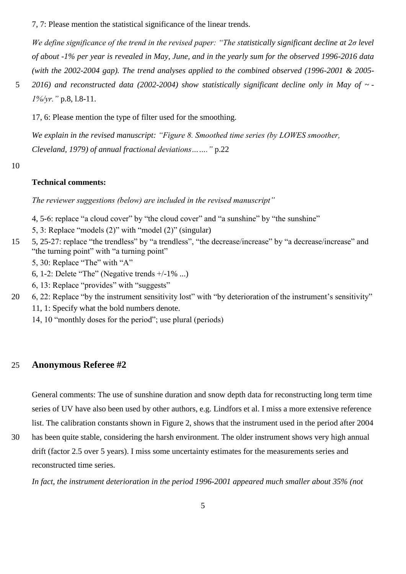7, 7: Please mention the statistical significance of the linear trends.

*We define significance of the trend in the revised paper: "The statistically significant decline at 2σ level of about -1% per year is revealed in May, June, and in the yearly sum for the observed 1996-2016 data (with the 2002-2004 gap). The trend analyses applied to the combined observed (1996-2001 & 2005-*

5 *2016) and reconstructed data (2002-2004) show statistically significant decline only in May of ~ - 1%/yr."* p.8, l.8-11.

17, 6: Please mention the type of filter used for the smoothing.

*We explain in the revised manuscript: "Figure 8. Smoothed time series (by LOWES smoother, Cleveland, 1979) of annual fractional deviations……."* p.22

10

## **Technical comments:**

*The reviewer suggestions (below) are included in the revised manuscript"*

- 4, 5-6: replace "a cloud cover" by "the cloud cover" and "a sunshine" by "the sunshine"
- 5, 3: Replace "models (2)" with "model (2)" (singular)
- 15 5, 25-27: replace "the trendless" by "a trendless", "the decrease/increase" by "a decrease/increase" and "the turning point" with "a turning point"
	- 5, 30: Replace "The" with "A"
	- 6, 1-2: Delete "The" (Negative trends  $+/-1\%$  ...)
	- 6, 13: Replace "provides" with "suggests"
- 20 6, 22: Replace "by the instrument sensitivity lost" with "by deterioration of the instrument's sensitivity" 11, 1: Specify what the bold numbers denote.
	- 14, 10 "monthly doses for the period"; use plural (periods)

# 25 **Anonymous Referee #2**

General comments: The use of sunshine duration and snow depth data for reconstructing long term time series of UV have also been used by other authors, e.g. Lindfors et al. I miss a more extensive reference list. The calibration constants shown in Figure 2, shows that the instrument used in the period after 2004

30 has been quite stable, considering the harsh environment. The older instrument shows very high annual drift (factor 2.5 over 5 years). I miss some uncertainty estimates for the measurements series and reconstructed time series.

*In fact, the instrument deterioration in the period 1996-2001 appeared much smaller about 35% (not*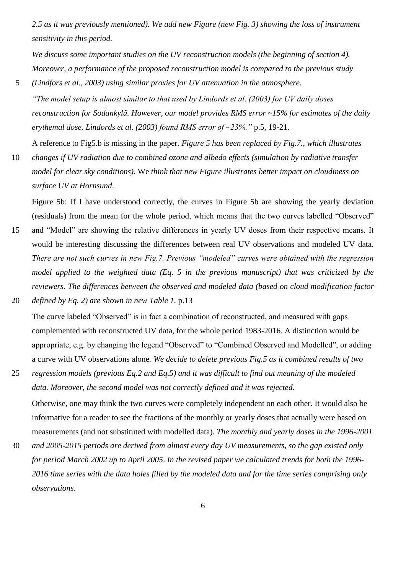*2.5 as it was previously mentioned). We add new Figure (new Fig. 3) showing the loss of instrument sensitivity in this period.*

*We discuss some important studies on the UV reconstruction models (the beginning of section 4). Moreover, a performance of the proposed reconstruction model is compared to the previous study*  5 *(Lindfors et al., 2003) using similar proxies for UV attenuation in the atmosphere.* 

*"The model setup is almost similar to that used by Lindords et al. (2003) for UV daily doses reconstruction for Sodankylä. However, our model provides RMS error ~15% for estimates of the daily erythemal dose. Lindords et al. (2003) found RMS error of ~23%."* p.5, 19-21.

A reference to Fig5.b is missing in the paper. *Figure 5 has been replaced by Fig.7., which illustrates* 

10 *changes if UV radiation due to combined ozone and albedo effects (simulation by radiative transfer model for clear sky conditions)*. We *think that new Figure illustrates better impact on cloudiness on surface UV at Hornsund*.

Figure 5b: If I have understood correctly, the curves in Figure 5b are showing the yearly deviation (residuals) from the mean for the whole period, which means that the two curves labelled "Observed"

- 15 and "Model" are showing the relative differences in yearly UV doses from their respective means. It would be interesting discussing the differences between real UV observations and modeled UV data. *There are not such curves in new Fig.7. Previous "modeled" curves were obtained with the regression model applied to the weighted data (Eq. 5 in the previous manuscript) that was criticized by the reviewers. The differences between the observed and modeled data (based on cloud modification factor*  20 *defined by Eq. 2) are shown in new Table 1.* p.13
- The curve labeled "Observed" is in fact a combination of reconstructed, and measured with gaps complemented with reconstructed UV data, for the whole period 1983-2016. A distinction would be appropriate, e.g. by changing the legend "Observed" to "Combined Observed and Modelled", or adding a curve with UV observations alone*. We decide to delete previous Fig.5 as it combined results of two*
- 25 *regression models (previous Eq.2 and Eq.5) and it was difficult to find out meaning of the modeled data. Moreover, the second model was not correctly defined and it was rejected.*

Otherwise, one may think the two curves were completely independent on each other. It would also be informative for a reader to see the fractions of the monthly or yearly doses that actually were based on measurements (and not substituted with modelled data). *The monthly and yearly doses in the 1996-2001* 

30 *and 2005-2015 periods are derived from almost every day UV measurements, so the gap existed only for period March 2002 up to April 2005*. *In the revised paper we calculated trends for both the 1996- 2016 time series with the data holes filled by the modeled data and for the time series comprising only observations.*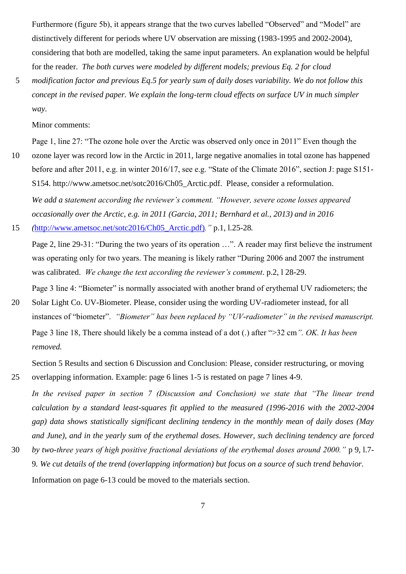Furthermore (figure 5b), it appears strange that the two curves labelled "Observed" and "Model" are distinctively different for periods where UV observation are missing (1983-1995 and 2002-2004), considering that both are modelled, taking the same input parameters. An explanation would be helpful for the reader. *The both curves were modeled by different models; previous Eq. 2 for cloud* 

5 *modification factor and previous Eq.5 for yearly sum of daily doses variability. We do not follow this concept in the revised paper. We explain the long-term cloud effects on surface UV in much simpler way.*

## Minor comments:

Page 1, line 27: "The ozone hole over the Arctic was observed only once in 2011" Even though the

10 ozone layer was record low in the Arctic in 2011, large negative anomalies in total ozone has happened before and after 2011, e.g. in winter 2016/17, see e.g. "State of the Climate 2016", section J: page S151- S154. http://www.ametsoc.net/sotc2016/Ch05\_Arctic.pdf. Please, consider a reformulation. *We add a statement according the reviewer's comment. "However, severe ozone losses appeared occasionally over the Arctic, e.g. in 2011 (Garcia, 2011; Bernhard et al., 2013) and in 2016* 

15 *(*[http://www.ametsoc.net/sotc2016/Ch05\\_Arctic.pdf\)](http://www.ametsoc.net/sotc2016/Ch05_Arctic.pdf))*."* p.1, l.25-28*.* 

Page 2, line 29-31: "During the two years of its operation …". A reader may first believe the instrument was operating only for two years. The meaning is likely rather "During 2006 and 2007 the instrument was calibrated. *We change the text according the reviewer's comment*. p.2, l 28-29.

Page 3 line 4: "Biometer" is normally associated with another brand of erythemal UV radiometers; the 20 Solar Light Co. UV-Biometer. Please, consider using the wording UV-radiometer instead, for all instances of "biometer". *"Biometer" has been replaced by "UV-radiometer" in the revised manuscript.* Page 3 line 18, There should likely be a comma instead of a dot (.) after ">32 cm*". OK. It has been removed.*

Section 5 Results and section 6 Discussion and Conclusion: Please, consider restructuring, or moving 25 overlapping information. Example: page 6 lines 1-5 is restated on page 7 lines 4-9.

*In the revised paper in section 7 (Discussion and Conclusion) we state that "The linear trend calculation by a standard least-squares fit applied to the measured (1996-2016 with the 2002-2004 gap) data shows statistically significant declining tendency in the monthly mean of daily doses (May and June), and in the yearly sum of the erythemal doses. However, such declining tendency are forced* 

30 *by two-three years of high positive fractional deviations of the erythemal doses around 2000."* p 9, l.7- 9*. We cut details of the trend (overlapping information) but focus on a source of such trend behavior.* Information on page 6-13 could be moved to the materials section.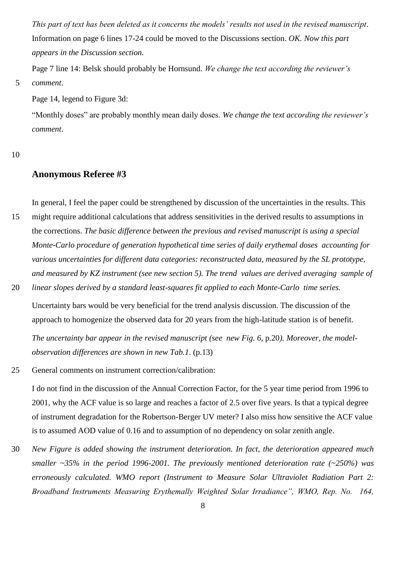*This part of text has been deleted as it concerns the models' results not used in the revised manuscript*. Information on page 6 lines 17-24 could be moved to the Discussions section. *OK. Now this part appears in the Discussion section.*

Page 7 line 14: Belsk should probably be Hornsund. *We change the text according the reviewer's*  5 *comment*.

Page 14, legend to Figure 3d:

"Monthly doses" are probably monthly mean daily doses. *We change the text according the reviewer's comment*.

#### 10

## **Anonymous Referee #3**

In general, I feel the paper could be strengthened by discussion of the uncertainties in the results. This

- 15 might require additional calculations that address sensitivities in the derived results to assumptions in the corrections. *The basic difference between the previous and revised manuscript is using a special Monte-Carlo procedure of generation hypothetical time series of daily erythemal doses accounting for various uncertainties for different data categories: reconstructed data, measured by the SL prototype, and measured by KZ instrument (see new section 5). The trend values are derived averaging sample of*
- 20 *linear slopes derived by a standard least-squares fit applied to each Monte-Carlo time series.* Uncertainty bars would be very beneficial for the trend analysis discussion. The discussion of the

The uncertainty bar appear in the revised manuscript (see new Fig. 6, p.20). Moreover, the model-

approach to homogenize the observed data for 20 years from the high-latitude station is of benefit.

*observation differences are shown in new Tab.1*. (p.13)

25 General comments on instrument correction/calibration:

I do not find in the discussion of the Annual Correction Factor, for the 5 year time period from 1996 to 2001, why the ACF value is so large and reaches a factor of 2.5 over five years. Is that a typical degree of instrument degradation for the Robertson-Berger UV meter? I also miss how sensitive the ACF value is to assumed AOD value of 0.16 and to assumption of no dependency on solar zenith angle.

30 *New Figure is added showing the instrument deterioration. In fact, the deterioration appeared much smaller ~35% in the period 1996-2001. The previously mentioned deterioration rate (~250%) was erroneously calculated. WMO report (Instrument to Measure Solar Ultraviolet Radiation Part 2: Broadband Instruments Measuring Erythemally Weighted Solar Irradiance", WMO, Rep. No. 164,*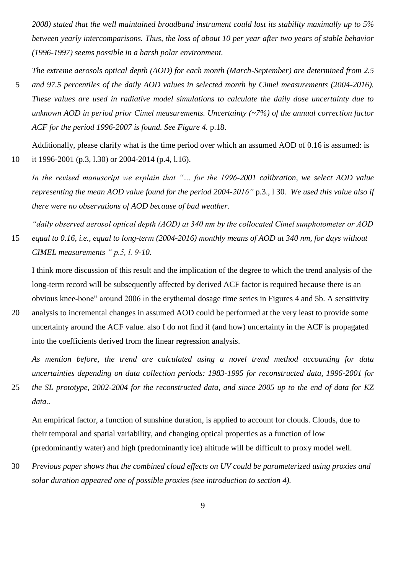*2008) stated that the well maintained broadband instrument could lost its stability maximally up to 5% between yearly intercomparisons. Thus, the loss of about 10 per year after two years of stable behavior (1996-1997) seems possible in a harsh polar environment.*

*The extreme aerosols optical depth (AOD) for each month (March-September) are determined from 2.5*  5 *and 97.5 percentiles of the daily AOD values in selected month by Cimel measurements (2004-2016). These values are used in radiative model simulations to calculate the daily dose uncertainty due to unknown AOD in period prior Cimel measurements. Uncertainty (~7%) of the annual correction factor ACF for the period 1996-2007 is found. See Figure 4.* p.18.

Additionally, please clarify what is the time period over which an assumed AOD of 0.16 is assumed: is 10 it 1996-2001 (p.3, l.30) or 2004-2014 (p.4, l.16).

*In the revised manuscript we explain that "… for the 1996-2001 calibration, we select AOD value representing the mean AOD value found for the period 2004-2016"* p.3., l 30*. We used this value also if there were no observations of AOD because of bad weather.*

*"daily observed aerosol optical depth (AOD) at 340 nm by the collocated Cimel sunphotometer or AOD*  15 *equal to 0.16, i.e., equal to long-term (2004-2016) monthly means of AOD at 340 nm, for days without CIMEL measurements " p.5, l. 9-10.*

I think more discussion of this result and the implication of the degree to which the trend analysis of the long-term record will be subsequently affected by derived ACF factor is required because there is an obvious knee-bone" around 2006 in the erythemal dosage time series in Figures 4 and 5b. A sensitivity

20 analysis to incremental changes in assumed AOD could be performed at the very least to provide some uncertainty around the ACF value. also I do not find if (and how) uncertainty in the ACF is propagated into the coefficients derived from the linear regression analysis.

*As mention before, the trend are calculated using a novel trend method accounting for data uncertainties depending on data collection periods: 1983-1995 for reconstructed data, 1996-2001 for* 

25 *the SL prototype, 2002-2004 for the reconstructed data, and since 2005 up to the end of data for KZ data..* 

An empirical factor, a function of sunshine duration, is applied to account for clouds. Clouds, due to their temporal and spatial variability, and changing optical properties as a function of low (predominantly water) and high (predominantly ice) altitude will be difficult to proxy model well.

30 *Previous paper shows that the combined cloud effects on UV could be parameterized using proxies and solar duration appeared one of possible proxies (see introduction to section 4).*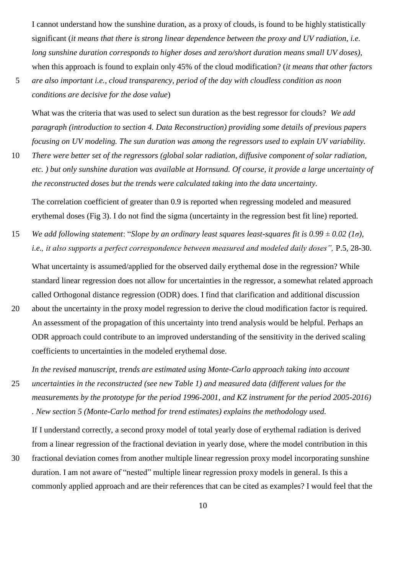I cannot understand how the sunshine duration, as a proxy of clouds, is found to be highly statistically significant (*it means that there is strong linear dependence between the proxy and UV radiation, i.e. long sunshine duration corresponds to higher doses and zero/short duration means small UV doses)*, when this approach is found to explain only 45% of the cloud modification? (*it means that other factors* 

*conditions are decisive for the dose value*)

What was the criteria that was used to select sun duration as the best regressor for clouds? *We add paragraph (introduction to section 4. Data Reconstruction) providing some details of previous papers focusing on UV modeling. The sun duration was among the regressors used to explain UV variability.* 

10 *There were better set of the regressors (global solar radiation, diffusive component of solar radiation, etc. ) but only sunshine duration was available at Hornsund. Of course, it provide a large uncertainty of the reconstructed doses but the trends were calculated taking into the data uncertainty.*

The correlation coefficient of greater than 0.9 is reported when regressing modeled and measured erythemal doses (Fig 3). I do not find the sigma (uncertainty in the regression best fit line) reported.

15 *We add following statement*: "*Slope by an ordinary least squares least-squares fit is 0.99 ± 0.02 (1σ), i.e., it also supports a perfect correspondence between measured and modeled daily doses",* P.5, 28-30.

What uncertainty is assumed/applied for the observed daily erythemal dose in the regression? While standard linear regression does not allow for uncertainties in the regressor, a somewhat related approach called Orthogonal distance regression (ODR) does. I find that clarification and additional discussion

20 about the uncertainty in the proxy model regression to derive the cloud modification factor is required. An assessment of the propagation of this uncertainty into trend analysis would be helpful. Perhaps an ODR approach could contribute to an improved understanding of the sensitivity in the derived scaling coefficients to uncertainties in the modeled erythemal dose.

*In the revised manuscript, trends are estimated using Monte-Carlo approach taking into account* 

25 *uncertainties in the reconstructed (see new Table 1) and measured data (different values for the measurements by the prototype for the period 1996-2001, and KZ instrument for the period 2005-2016) . New section 5 (Monte-Carlo method for trend estimates) explains the methodology used.*

If I understand correctly, a second proxy model of total yearly dose of erythemal radiation is derived from a linear regression of the fractional deviation in yearly dose, where the model contribution in this

30 fractional deviation comes from another multiple linear regression proxy model incorporating sunshine duration. I am not aware of "nested" multiple linear regression proxy models in general. Is this a commonly applied approach and are their references that can be cited as examples? I would feel that the

<sup>5</sup> *are also important i.e., cloud transparency, period of the day with cloudless condition as noon*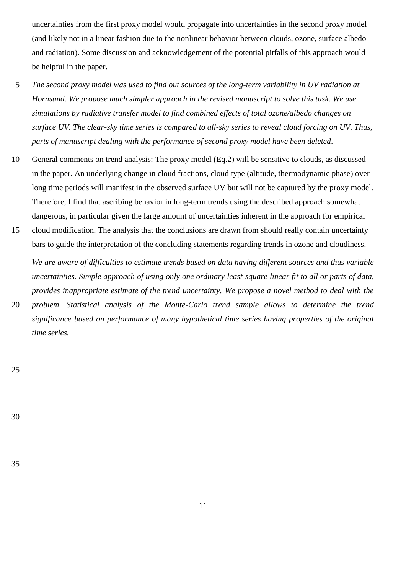uncertainties from the first proxy model would propagate into uncertainties in the second proxy model (and likely not in a linear fashion due to the nonlinear behavior between clouds, ozone, surface albedo and radiation). Some discussion and acknowledgement of the potential pitfalls of this approach would be helpful in the paper.

- 5 *The second proxy model was used to find out sources of the long-term variability in UV radiation at Hornsund. We propose much simpler approach in the revised manuscript to solve this task. We use simulations by radiative transfer model to find combined effects of total ozone/albedo changes on surface UV. The clear-sky time series is compared to all-sky series to reveal cloud forcing on UV. Thus, parts of manuscript dealing with the performance of second proxy model have been deleted*.
- 10 General comments on trend analysis: The proxy model (Eq.2) will be sensitive to clouds, as discussed in the paper. An underlying change in cloud fractions, cloud type (altitude, thermodynamic phase) over long time periods will manifest in the observed surface UV but will not be captured by the proxy model. Therefore, I find that ascribing behavior in long-term trends using the described approach somewhat dangerous, in particular given the large amount of uncertainties inherent in the approach for empirical
- 15 cloud modification. The analysis that the conclusions are drawn from should really contain uncertainty bars to guide the interpretation of the concluding statements regarding trends in ozone and cloudiness.

*We are aware of difficulties to estimate trends based on data having different sources and thus variable uncertainties. Simple approach of using only one ordinary least-square linear fit to all or parts of data, provides inappropriate estimate of the trend uncertainty. We propose a novel method to deal with the*  20 *problem. Statistical analysis of the Monte-Carlo trend sample allows to determine the trend* 

*significance based on performance of many hypothetical time series having properties of the original time series.* 

25

30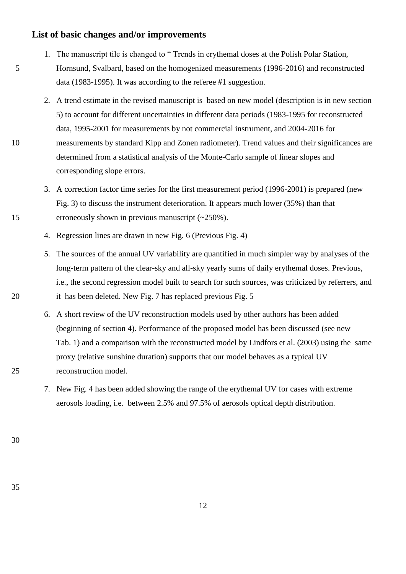# **List of basic changes and/or improvements**

- 1. The manuscript tile is changed to " Trends in erythemal doses at the Polish Polar Station, 5 Hornsund, Svalbard, based on the homogenized measurements (1996-2016) and reconstructed data (1983-1995). It was according to the referee #1 suggestion.
- 2. A trend estimate in the revised manuscript is based on new model (description is in new section 5) to account for different uncertainties in different data periods (1983-1995 for reconstructed data, 1995-2001 for measurements by not commercial instrument, and 2004-2016 for 10 measurements by standard Kipp and Zonen radiometer). Trend values and their significances are determined from a statistical analysis of the Monte-Carlo sample of linear slopes and corresponding slope errors.
- 3. A correction factor time series for the first measurement period (1996-2001) is prepared (new Fig. 3) to discuss the instrument deterioration. It appears much lower (35%) than that 15 erroneously shown in previous manuscript (~250%).
	- 4. Regression lines are drawn in new Fig. 6 (Previous Fig. 4)
- 5. The sources of the annual UV variability are quantified in much simpler way by analyses of the long-term pattern of the clear-sky and all-sky yearly sums of daily erythemal doses. Previous, i.e., the second regression model built to search for such sources, was criticized by referrers, and 20 it has been deleted. New Fig. 7 has replaced previous Fig. 5
- 6. A short review of the UV reconstruction models used by other authors has been added (beginning of section 4). Performance of the proposed model has been discussed (see new Tab. 1) and a comparison with the reconstructed model by Lindfors et al. (2003) using the same proxy (relative sunshine duration) supports that our model behaves as a typical UV 25 reconstruction model.
	- 7. New Fig. 4 has been added showing the range of the erythemal UV for cases with extreme aerosols loading, i.e. between 2.5% and 97.5% of aerosols optical depth distribution.

30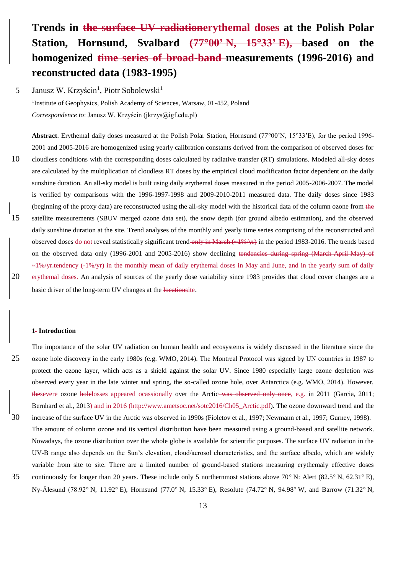# **Trends in the surface UV radiationerythemal doses at the Polish Polar Station, Hornsund, Svalbard (7700' N, 1533' E), based on the homogenized time series of broad-band measurements (1996-2016) and reconstructed data (1983-1995)**

Janusz W. Krzyścin<sup>1</sup>, Piotr Sobolewski<sup>1</sup> 5

> <sup>1</sup>Institute of Geophysics, Polish Academy of Sciences, Warsaw, 01-452, Poland *Correspondence to*: Janusz W. Krzyścin (jkrzys@igf.edu.pl)

Abstract. Erythemal daily doses measured at the Polish Polar Station, Hornsund (77°00'N, 15°33'E), for the period 1996-2001 and 2005-2016 are homogenized using yearly calibration constants derived from the comparison of observed doses for 10 cloudless conditions with the corresponding doses calculated by radiative transfer (RT) simulations. Modeled all-sky doses are calculated by the multiplication of cloudless RT doses by the empirical cloud modification factor dependent on the daily sunshine duration. An all-sky model is built using daily erythemal doses measured in the period 2005-2006-2007. The model is verified by comparisons with the 1996-1997-1998 and 2009-2010-2011 measured data. The daily doses since 1983 (beginning of the proxy data) are reconstructed using the all-sky model with the historical data of the column ozone from the 15 satellite measurements (SBUV merged ozone data set), the snow depth (for ground albedo estimation), and the observed daily sunshine duration at the site. Trend analyses of the monthly and yearly time series comprising of the reconstructed and observed doses do not reveal statistically significant trend-only in March (~1%/yr) in the period 1983-2016. The trends based on the observed data only (1996-2001 and 2005-2016) show declining tendencies during spring (March-April-May) of  $-1\%$ /yr.tendency (-1%/yr) in the monthly mean of daily erythemal doses in May and June, and in the yearly sum of daily 20 erythemal doses. An analysis of sources of the yearly dose variability since 1983 provides that cloud cover changes are a basic driver of the long-term UV changes at the locationsite.

#### **1 Introduction**

The importance of the solar UV radiation on human health and ecosystems is widely discussed in the literature since the 25 ozone hole discovery in the early 1980s (e.g. WMO, 2014). The Montreal Protocol was signed by UN countries in 1987 to protect the ozone layer, which acts as a shield against the solar UV. Since 1980 especially large ozone depletion was observed every year in the late winter and spring, the so-called ozone hole, over Antarctica (e.g. WMO, 2014). However, thesevere ozone holelosses appeared ocassionally over the Arctic was observed only once, e.g. in 2011 (Garcia, 2011; Bernhard et al., 2013) and in 2016 (http://www.ametsoc.net/sotc2016/Ch05\_Arctic.pdf). The ozone downward trend and the 30 increase of the surface UV in the Arctic was observed in 1990s (Fioletov et al., 1997; Newmann et al., 1997; Gurney, 1998). The amount of column ozone and its vertical distribution have been measured using a ground-based and satellite network. Nowadays, the ozone distribution over the whole globe is available for scientific purposes. The surface UV radiation in the

UV-B range also depends on the Sun's elevation, cloud/aerosol characteristics, and the surface albedo, which are widely variable from site to site. There are a limited number of ground-based stations measuring erythemaly effective doses 35 continuously for longer than 20 years. These include only 5 northernmost stations above 70 $\degree$  N: Alert (82.5 $\degree$  N, 62.31 $\degree$  E), Ny-Ålesund (78.92° N, 11.92° E), Hornsund (77.0° N, 15.33° E), Resolute (74.72° N, 94.98° W, and Barrow (71.32° N,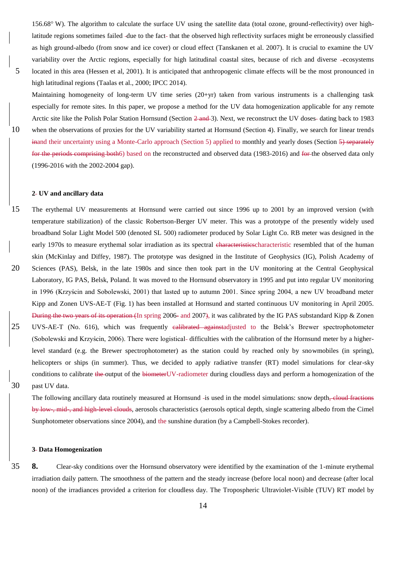156.68 W). The algorithm to calculate the surface UV using the satellite data (total ozone, ground-reflectivity) over highlatitude regions sometimes failed -due to the fact-that the observed high reflectivity surfaces might be erroneously classified as high ground-albedo (from snow and ice cover) or cloud effect (Tanskanen et al. 2007). It is crucial to examine the UV variability over the Arctic regions, especially for high latitudinal coastal sites, because of rich and diverse -ecosystems 5 located in this area (Hessen et al, 2001). It is anticipated that anthropogenic climate effects will be the most pronounced in high latitudinal regions (Taalas et al., 2000; IPCC 2014).

Maintaining homogeneity of long-term UV time series (20+yr) taken from various instruments is a challenging task especially for remote sites. In this paper, we propose a method for the UV data homogenization applicable for any remote Arctic site like the Polish Polar Station Hornsund (Section 2 and 3). Next, we reconstruct the UV doses-dating back to 1983 10 when the observations of proxies for the UV variability started at Hornsund (Section 4). Finally, we search for linear trends inand their uncertainty using a Monte-Carlo approach (Section 5) applied to monthly and yearly doses (Section 5) separately for the periods comprising both6) based on the reconstructed and observed data (1983-2016) and for the observed data only (1996-2016 with the 2002-2004 gap).

#### **2 UV and ancillary data**

15 The erythemal UV measurements at Hornsund were carried out since 1996 up to 2001 by an improved version (with temperature stabilization) of the classic Robertson-Berger UV meter. This was a prototype of the presently widely used broadband Solar Light Model 500 (denoted SL 500) radiometer produced by Solar Light Co. RB meter was designed in the early 1970s to measure erythemal solar irradiation as its spectral characteristicscharacteristic resembled that of the human skin (McKinlay and Diffey, 1987). The prototype was designed in the Institute of Geophysics (IG), Polish Academy of 20 Sciences (PAS), Belsk, in the late 1980s and since then took part in the UV monitoring at the Central Geophysical Laboratory, IG PAS, Belsk, Poland. It was moved to the Hornsund observatory in 1995 and put into regular UV monitoring in 1996 (Krzyścin and Sobolewski, 2001) that lasted up to autumn 2001. Since spring 2004, a new UV broadband meter Kipp and Zonen UVS-AE-T (Fig. 1) has been installed at Hornsund and started continuous UV monitoring in April 2005. During the two years of its operation (In spring 2006- and 2007), it was calibrated by the IG PAS substandard Kipp & Zonen 25 UVS-AE-T (No. 616), which was frequently ealibrated againstadjusted to the Belsk's Brewer spectrophotometer (Sobolewski and Krzyścin, 2006). There were logistical difficulties with the calibration of the Hornsund meter by a higherlevel standard (e.g. the Brewer spectrophotometer) as the station could by reached only by snowmobiles (in spring), helicopters or ships (in summer). Thus, we decided to apply radiative transfer (RT) model simulations for clear-sky conditions to calibrate the output of the biometerUV-radiometer during cloudless days and perform a homogenization of the 30 past UV data.

The following ancillary data routinely measured at Hornsund -is used in the model simulations: snow depth, cloud fractions by low-, mid-, and high-level clouds, aerosols characteristics (aerosols optical depth, single scattering albedo from the Cimel Sunphotometer observations since 2004), and the sunshine duration (by a Campbell-Stokes recorder).

#### **3 Data Homogenization**

35 **8.** Clear-sky conditions over the Hornsund observatory were identified by the examination of the 1-minute erythemal irradiation daily pattern. The smoothness of the pattern and the steady increase (before local noon) and decrease (after local noon) of the irradiances provided a criterion for cloudless day. The Tropospheric Ultraviolet-Visible (TUV) RT model by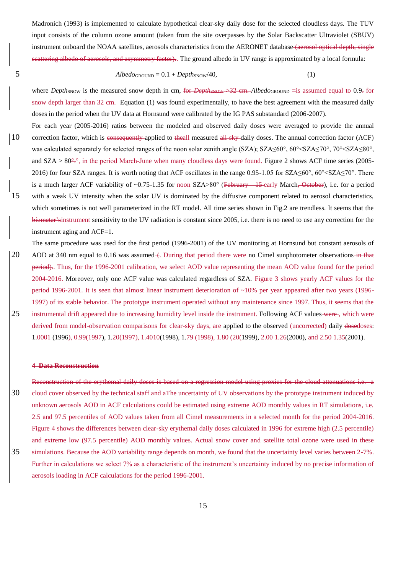Madronich (1993) is implemented to calculate hypothetical clear-sky daily dose for the selected cloudless days. The TUV input consists of the column ozone amount (taken from the site overpasses by the Solar Backscatter Ultraviolet (SBUV) instrument onboard the NOAA satellites, aerosols characteristics from the AERONET database (aerosol optical depth, single scattering albedo of aerosols, and asymmetry factor). The ground albedo in UV range is approximated by a local formula:

$$
Albedo_{\text{GROUND}} = 0.1 + Depth_{\text{SNOW}}/40,
$$
\n(1)

where *Depth*<sub>SNOW</sub> is the measured snow depth in cm, for *DepthsNOW*  $\rightarrow$  32 cm. *Albedo*GROUND = is assumed equal to 0.9. for snow depth larger than 32 cm. Equation (1) was found experimentally, to have the best agreement with the measured daily doses in the period when the UV data at Hornsund were calibrated by the IG PAS substandard (2006-2007).

- For each year (2005-2016) ratios between the modeled and observed daily doses were averaged to provide the annual 10 correction factor, which is consequently applied to theall measured all sky daily doses. The annual correction factor (ACF) was calculated separately for selected ranges of the noon solar zenith angle (SZA); SZA≤60°, 60°<SZA≤70°, 70°<SZA≤80°, and  $SZA > 80^{\circ}$ , in the period March-June when many cloudless days were found. Figure 2 shows ACF time series (2005-2016) for four SZA ranges. It is worth noting that ACF oscillates in the range  $0.95$ -1.05 for SZA $\leq 60^{\circ}$ ,  $60^{\circ}$   $\leq$  SZA $\leq$ 70°. There is a much larger ACF variability of ~0.75-1.35 for noon SZA>80° (February – 15 early March, October), i.e. for a period 15 with a weak UV intensity when the solar UV is dominated by the diffusive component related to aerosol characteristics, which sometimes is not well parameterized in the RT model. All time series shown in Fig.2 are trendless. It seems that the biometer'sinstrument sensitivity to the UV radiation is constant since 2005, i.e. there is no need to use any correction for the instrument aging and ACF=1.
- The same procedure was used for the first period (1996-2001) of the UV monitoring at Hornsund but constant aerosols of 20 AOD at 340 nm equal to 0.16 was assumed - C. During that period there were no Cimel sunphotometer observations in that period).. Thus, for the 1996-2001 calibration, we select AOD value representing the mean AOD value found for the period 2004-2016. Moreover, only one ACF value was calculated regardless of SZA. Figure 3 shows yearly ACF values for the period 1996-2001. It is seen that almost linear instrument deterioration of ~10% per year appeared after two years (1996- 1997) of its stable behavior. The prototype instrument operated without any maintenance since 1997. Thus, it seems that the 25 instrumental drift appeared due to increasing humidity level inside the instrument. Following ACF values were, which were derived from model-observation comparisons for clear-sky days, are applied to the observed (uncorrected) daily dosedoses:

1.0001 (1996), 0.99(1997), 1.20(1997), 1.4010(1998), 1.79 (1998), 1.80 (20(1999), 2.00 1.26(2000), and 2.50 1.35(2001).

#### **4 Data Reconstruction**

Reconstruction of the erythemal daily doses is based on a regression model using proxies for the cloud attenuations i.e. a 30 eloud cover observed by the technical staff and aThe uncertainty of UV observations by the prototype instrument induced by unknown aerosols AOD in ACF calculations could be estimated using extreme AOD monthly values in RT simulations, i.e. 2.5 and 97.5 percentiles of AOD values taken from all Cimel measurements in a selected month for the period 2004-2016. Figure 4 shows the differences between clear-sky erythemal daily doses calculated in 1996 for extreme high (2.5 percentile) and extreme low (97.5 percentile) AOD monthly values. Actual snow cover and satellite total ozone were used in these 35 simulations. Because the AOD variability range depends on month, we found that the uncertainty level varies between 2-7%. Further in calculations we select 7% as a characteristic of the instrument's uncertainty induced by no precise information of aerosols loading in ACF calculations for the period 1996-2001.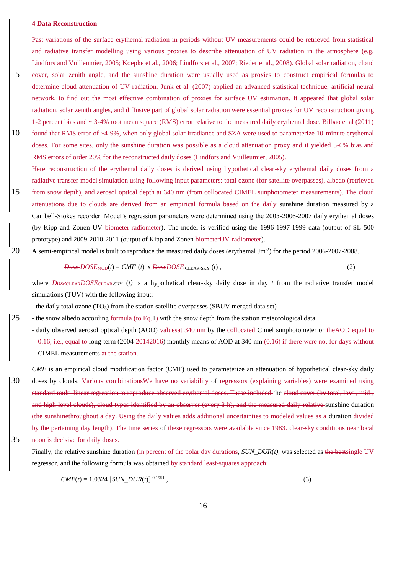#### **4 Data Reconstruction**

Past variations of the surface erythemal radiation in periods without UV measurements could be retrieved from statistical and radiative transfer modelling using various proxies to describe attenuation of UV radiation in the atmosphere (e.g. Lindfors and Vuilleumier, 2005; Koepke et al., 2006; Lindfors et al., 2007; Rieder et al., 2008). Global solar radiation, cloud 5 cover, solar zenith angle, and the sunshine duration were usually used as proxies to construct empirical formulas to determine cloud attenuation of UV radiation. Junk et al. (2007) applied an advanced statistical technique, artificial neural network, to find out the most effective combination of proxies for surface UV estimation. It appeared that global solar radiation, solar zenith angles, and diffusive part of global solar radiation were essential proxies for UV reconstruction giving 1-2 percent bias and ~ 3-4% root mean square (RMS) error relative to the measured daily erythemal dose. Bilbao et al (2011)

- 10 found that RMS error of ~4-9%, when only global solar irradiance and SZA were used to parameterize 10-minute erythemal doses. For some sites, only the sunshine duration was possible as a cloud attenuation proxy and it yielded 5-6% bias and RMS errors of order 20% for the reconstructed daily doses (Lindfors and Vuilleumier, 2005).
- Here reconstruction of the erythemal daily doses is derived using hypothetical clear-sky erythemal daily doses from a radiative transfer model simulation using following input parameters: total ozone (for satellite overpasses), albedo (retrieved 15 from snow depth), and aerosol optical depth at 340 nm (from collocated CIMEL sunphotometer measurements). The cloud attenuations due to clouds are derived from an empirical formula based on the daily sunshine duration measured by a Cambell-Stokes recorder. Model's regression parameters were determined using the 2005-2006-2007 daily erythemal doses (by Kipp and Zonen UV-biometer-radiometer). The model is verified using the 1996-1997-1999 data (output of SL 500
- 20 A semi-empirical model is built to reproduce the measured daily doses (erythemal  $\text{Jm}^2$ ) for the period 2006-2007-2008.

$$
Dose-DOSE_{MOD}(t) = CMF_{-}(t) \times DoseDOSE_{CLEAR-SKY}(t) ,
$$
\n(2)

where  $\overline{Dose_{\text{CLEAR-BKY}}(t)}$  is a hypothetical clear-sky daily dose in day *t* from the radiative transfer model simulations (TUV) with the following input:

- the daily total ozone  $(TO_3)$  from the station satellite overpasses (SBUV merged data set)

prototype) and 2009-2010-2011 (output of Kipp and Zonen biometerUV-radiometer).

25 - the snow albedo according formula (to Eq.1) with the snow depth from the station meteorological data

- daily observed aerosol optical depth (AOD) valuesat 340 nm by the collocated Cimel sunphotometer or theAOD equal to 0.16, i.e., equal to long-term  $(2004-20142016)$  monthly means of AOD at 340 nm  $(0.16)$  if there were no, for days without CIMEL measurements at the station.
- *CMF* is an empirical cloud modification factor (CMF) used to parameterize an attenuation of hypothetical clear-sky daily 30 doses by clouds. Various combinations We have no variability of regressors (explaining variables) were examined using standard multi-linear regression to reproduce observed erythemal doses. These included the cloud cover (by total, low, mid-, and high-level clouds), cloud types identified by an observer (every 3 h), and the measured daily relative sunshine duration (the sunshinethroughout a day. Using the daily values adds additional uncertainties to modeled values as a duration divided by the pertaining day length). The time series of these regressors were available since 1983. clear-sky conditions near local 35 noon is decisive for daily doses.
	- Finally, the relative sunshine duration (in percent of the polar day durations, *SUN DUR(t)*, was selected as the bestsingle UV regressor, and the following formula was obtained by standard least-squares approach:

$$
CMF(t) = 1.0324 [SUM_DUR(t)]^{0.1951}, \qquad (3)
$$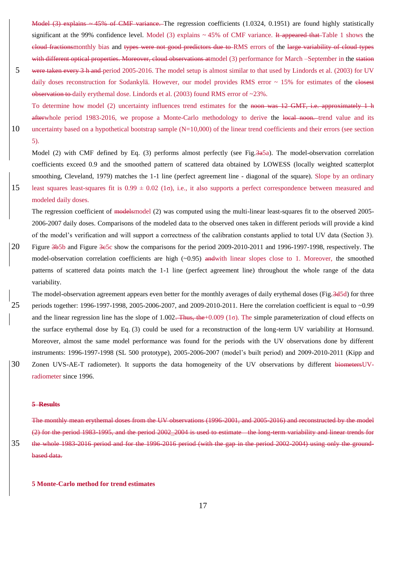Model (3) explains ~ 45% of CMF variance. The regression coefficients (1.0324, 0.1951) are found highly statistically significant at the 99% confidence level. Model (3) explains  $\sim$  45% of CMF variance. It appeared that Table 1 shows the cloud fractionsmonthly bias and types were not good predictors due to RMS errors of the large variability of cloud types with different optical properties. Moreover, cloud observations atmodel (3) performance for March –September in the station 5 were taken every 3 h and period 2005-2016. The model setup is almost similar to that used by Lindords et al. (2003) for UV

- daily doses reconstruction for Sodankylä. However, our model provides RMS error  $\sim 15\%$  for estimates of the elesest observation to daily erythemal dose. Lindords et al. (2003) found RMS error of ~23%.
- To determine how model (2) uncertainty influences trend estimates for the noon was 12 GMT, i.e. approximately 1 h afterwhole period 1983-2016, we propose a Monte-Carlo methodology to derive the local noon. trend value and its 10 uncertainty based on a hypothetical bootstrap sample (N=10,000) of the linear trend coefficients and their errors (see section 5).

Model (2) with CMF defined by Eq. (3) performs almost perfectly (see Fig. 3a5a). The model-observation correlation coefficients exceed 0.9 and the smoothed pattern of scattered data obtained by LOWESS (locally weighted scatterplot smoothing, Cleveland, 1979) matches the 1-1 line (perfect agreement line - diagonal of the square). Slope by an ordinary 15 least squares least-squares fit is  $0.99 \pm 0.02$  (1 $\sigma$ ), i.e., it also supports a perfect correspondence between measured and modeled daily doses.

The regression coefficient of modelsmodel (2) was computed using the multi-linear least-squares fit to the observed 2005-2006-2007 daily doses. Comparisons of the modeled data to the observed ones taken in different periods will provide a kind of the model's verification and will support a correctness of the calibration constants applied to total UV data (Section 3).

- 20 Figure 3b5b and Figure 3c5c show the comparisons for the period 2009-2010-2011 and 1996-1997-1998, respectively. The model-observation correlation coefficients are high  $(\sim 0.95)$  andwith linear slopes close to 1. Moreover, the smoothed patterns of scattered data points match the 1-1 line (perfect agreement line) throughout the whole range of the data variability.
- The model-observation agreement appears even better for the monthly averages of daily erythemal doses (Fig.3d5d) for three 25 periods together: 1996-1997-1998, 2005-2006-2007, and 2009-2010-2011. Here the correlation coefficient is equal to ~0.99 and the linear regression line has the slope of 1.002. Thus, the +0.009 (1 $\sigma$ ). The simple parameterization of cloud effects on the surface erythemal dose by Eq. (3) could be used for a reconstruction of the long-term UV variability at Hornsund. Moreover, almost the same model performance was found for the periods with the UV observations done by different instruments: 1996-1997-1998 (SL 500 prototype), 2005-2006-2007 (model's built period) and 2009-2010-2011 (Kipp and 30 Zonen UVS-AE-T radiometer). It supports the data homogeneity of the UV observations by different biometersUV-
- radiometer since 1996.

#### **5 Results**

The monthly mean erythemal doses from the UV observations (1996-2001, and 2005-2016) and reconstructed by the model (2) for the period 1983-1995, and the period 2002\_2004 is used to estimate the long-term variability and linear trends for 35 the whole 1983-2016 period and for the 1996-2016 period (with the gap in the period 2002-2004) using only the groundbased data.

**5 Monte-Carlo method for trend estimates**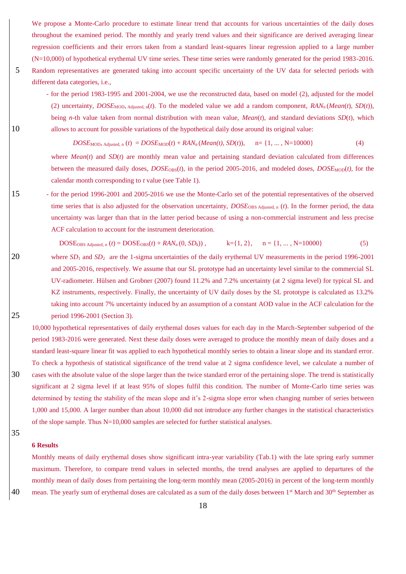We propose a Monte-Carlo procedure to estimate linear trend that accounts for various uncertainties of the daily doses throughout the examined period. The monthly and yearly trend values and their significance are derived averaging linear regression coefficients and their errors taken from a standard least-squares linear regression applied to a large number (N=10,000) of hypothetical erythemal UV time series. These time series were randomly generated for the period 1983-2016. 5 Random representatives are generated taking into account specific uncertainty of the UV data for selected periods with different data categories, i.e.,

- for the period 1983-1995 and 2001-2004, we use the reconstructed data, based on model (2), adjusted for the model (2) uncertainty, *DOSE*<sub>MOD</sub>,  $_{\text{Adjusted, n}}(t)$ . To the modeled value we add a random component,  $RAN_n(Mean(t), SD(t))$ , being *n*-th value taken from normal distribution with mean value, *Mean*(*t*), and standard deviations *SD*(*t*), which 10 allows to account for possible variations of the hypothetical daily dose around its original value:

 $DOSE_{MOD}$ ,  $\Delta$ djusted, n (*t*) =  $DOSE_{MOD}(t)$  +  $RAN_n$  (*Mean(t)*,  $SD(t)$ ), n= {1, ..., N=10000} (4)

where  $Mean(t)$  and  $SD(t)$  are monthly mean value and pertaining standard deviation calculated from differences between the measured daily doses,  $DOSE<sub>OBS</sub>(t)$ , in the period 2005-2016, and modeled doses,  $DOSE<sub>MOD</sub>(t)$ , for the calendar month corresponding to *t* value (see Table 1).

15 - for the period 1996-2001 and 2005-2016 we use the Monte-Carlo set of the potential representatives of the observed time series that is also adjusted for the observation uncertainty, *DOSE*OBS Adjusted, <sup>n</sup> (*t*). In the former period, the data uncertainty was larger than that in the latter period because of using a non-commercial instrument and less precise ACF calculation to account for the instrument deterioration.

 $DOSE_{OBS \text{ Adjusted, } n}(t) = DOSE_{OBS}(t) + RAN_n(0, SD_k))$ ,  $k = \{1, 2\}, n = \{1, ..., N=10000\}$  (5)

20 where *SD*<sub>1</sub> and *SD*<sub>2</sub> are the 1-sigma uncertainties of the daily erythemal UV measurements in the period 1996-2001 and 2005-2016, respectively. We assume that our SL prototype had an uncertainty level similar to the commercial SL UV-radiometer. Hülsen and Grobner (2007) found 11.2% and 7.2% uncertainty (at 2 sigma level) for typical SL and KZ instruments, respectively. Finally, the uncertainty of UV daily doses by the SL prototype is calculated as 13.2% taking into account 7% uncertainty induced by an assumption of a constant AOD value in the ACF calculation for the 25 period 1996-2001 (Section 3).

10,000 hypothetical representatives of daily erythemal doses values for each day in the March-September subperiod of the period 1983-2016 were generated. Next these daily doses were averaged to produce the monthly mean of daily doses and a standard least-square linear fit was applied to each hypothetical monthly series to obtain a linear slope and its standard error. To check a hypothesis of statistical significance of the trend value at 2 sigma confidence level, we calculate a number of 30 cases with the absolute value of the slope larger than the twice standard error of the pertaining slope. The trend is statistically significant at 2 sigma level if at least 95% of slopes fulfil this condition. The number of Monte-Carlo time series was determined by testing the stability of the mean slope and it's 2-sigma slope error when changing number of series between 1,000 and 15,000. A larger number than about 10,000 did not introduce any further changes in the statistical characteristics of the slope sample. Thus N=10,000 samples are selected for further statistical analyses.

35

#### **6 Results**

Monthly means of daily erythemal doses show significant intra-year variability (Tab.1) with the late spring early summer maximum. Therefore, to compare trend values in selected months, the trend analyses are applied to departures of the monthly mean of daily doses from pertaining the long-term monthly mean (2005-2016) in percent of the long-term monthly 40 mean. The yearly sum of erythemal doses are calculated as a sum of the daily doses between 1<sup>st</sup> March and 30<sup>th</sup> September as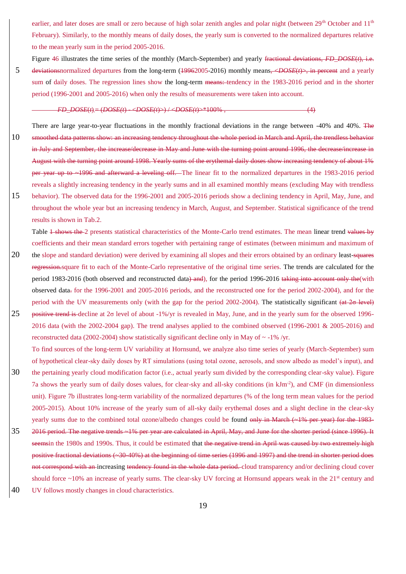earlier, and later doses are small or zero because of high solar zenith angles and polar night (between 29<sup>th</sup> October and 11<sup>th</sup> February). Similarly, to the monthly means of daily doses, the yearly sum is converted to the normalized departures relative to the mean yearly sum in the period 2005-2016.

Figure 46 illustrates the time series of the monthly (March-September) and yearly fractional deviations, *FD\_DOSE*(*t*), i.e. 5 deviationsnormalized departures from the long-term (19962005-2016) monthly means, <*DOSE*(*t*)>, in percent and a yearly sum of daily doses. The regression lines show the long-term means: tendency in the 1983-2016 period and in the shorter period (1996-2001 and 2005-2016) when only the results of measurements were taken into account.

#### *FD\_DOSE*(*t*) = (*DOSE(t*) - <*DOSE(t*)>) / <*DOSE(t*)>\*100% , (4)

- There are large year-to-year fluctuations in the monthly fractional deviations in the range between -40% and 40%. The 10 smoothed data patterns show: an increasing tendency throughout the whole period in March and April, the trendless behavior in July and September, the increase/decrease in May and June with the turning point around 1996, the decrease/increase in August with the turning point around 1998. Yearly sums of the erythemal daily doses show increasing tendency of about 1% per year up to ~1996 and afterward a leveling off. The linear fit to the normalized departures in the 1983-2016 period reveals a slightly increasing tendency in the yearly sums and in all examined monthly means (excluding May with trendless
- 15 behavior). The observed data for the 1996-2001 and 2005-2016 periods show a declining tendency in April, May, June, and throughout the whole year but an increasing tendency in March, August, and September. Statistical significance of the trend results is shown in Tab.2.

Table 1 shows the 2 presents statistical characteristics of the Monte-Carlo trend estimates. The mean linear trend values by coefficients and their mean standard errors together with pertaining range of estimates (between minimum and maximum of

- 20 the slope and standard deviation) were derived by examining all slopes and their errors obtained by an ordinary least-squares regression.square fit to each of the Monte-Carlo representative of the original time series. The trends are calculated for the period 1983-2016 (both observed and reconstructed data) and), for the period 1996-2016 taking into account only the (with observed data. for the 1996-2001 and 2005-2016 periods, and the reconstructed one for the period 2002-2004), and for the period with the UV measurements only (with the gap for the period 2002-2004). The statistically significant (at 2σ level) 25 positive trend is decline at  $2\sigma$  level of about -1%/yr is revealed in May, June, and in the yearly sum for the observed 1996-2016 data (with the 2002-2004 gap). The trend analyses applied to the combined observed (1996-2001 & 2005-2016) and
	- reconstructed data (2002-2004) show statistically significant decline only in May of  $\sim$  -1% /yr.
- To find sources of the long-term UV variability at Hornsund, we analyze also time series of yearly (March-September) sum of hypothetical clear-sky daily doses by RT simulations (using total ozone, aerosols, and snow albedo as model's input), and 30 the pertaining yearly cloud modification factor (i.e., actual yearly sum divided by the corresponding clear-sky value). Figure 7a shows the yearly sum of daily doses values, for clear-sky and all-sky conditions (in kJm-2 ), and CMF (in dimensionless unit). Figure 7b illustrates long-term variability of the normalized departures (% of the long term mean values for the period 2005-2015). About 10% increase of the yearly sum of all-sky daily erythemal doses and a slight decline in the clear-sky yearly sums due to the combined total ozone/albedo changes could be found only in March (~1% per year) for the 1983-35 2016 period. The negative trends ~1% per year are calculated in April, May, and June for the shorter period (since 1996). It seemsin the 1980s and 1990s. Thus, it could be estimated that the negative trend in April was caused by two extremely high positive fractional deviations (~30-40%) at the beginning of time series (1996 and 1997) and the trend in shorter period does not correspond with an increasing tendency found in the whole data period. cloud transparency and/or declining cloud cover
- should force  $\sim$ 10% an increase of yearly sums. The clear-sky UV forcing at Hornsund appears weak in the 21<sup>st</sup> century and 40 UV follows mostly changes in cloud characteristics.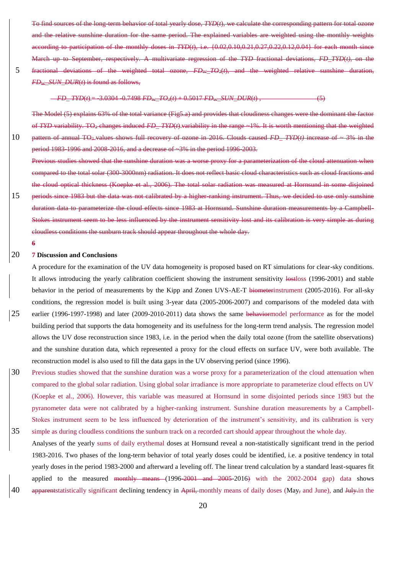To find sources of the long-term behavior of total yearly dose, *TYD*(*t*), we calculate the corresponding pattern for total ozone relative sunshine duration for the same period. The explained variables are weighted using the monthly to participation of the monthly doses in  $TYP(t)$ , i.e.  ${10.02,0.10,0.21,0.27,0.22,0.12,0.04}$  for each month March up to September, respectively. A multivariate regression of the *TYD* fractional deviations, *FD\_TYD*(*t),* on the 5 fractional deviations of the weighted total ozone, *FD<sub>W</sub>* TO<sub>3</sub>(*t*), and the weighted relative sunshine duration *FD*W*\_SUN\_DUR*(*t*) is found as follows,

 $FD - TYD(t) = 3.0304 - 0.7498$   $FD_w - TQ_3(t) + 0.5017$   $FD_w$   $SUN - DUR(t)$  , (5)

The Model (5) explains 63% of the total variance (Fig5.a) and provides that cloudiness changes were the dominant the factor of *TYD* variability. TO<sup>3</sup> changes induced *FD\_ TYD*(*t*) variability in the range ~1%. It is worth mentioning that the weighted 10 pattern of annual TO3 values shows full recovery of ozone in 2016. Clouds caused *FD\_ TYD*(*t)* increase of ~ 3% in the period 1983-1996 and 2008-2016, and a decrease of ~3% in the period 1996-2003.

- studies showed that the sunshine duration was a worse proxy for a parameterization of the cloud attenuation when compared to the total solar (300-3000nm) radiation. It does not reflect basic cloud characteristics such as cloud fractions and the cloud optical thickness (Koepke et al., 2006). The total solar radiation was measured at Hornsund in some disjoined 15 periods since 1983 but the data was not calibrated by a higher ranking instrument. Thus, we decided to use only sunshine duration data to parameterize the cloud effects since 1983 at Hornsund. Sunshine duration measurements by a Campbellinstrument seem to be less influenced by the instrument sensitivity lost and its calibration is very simple as during cloudless conditions the sunburn track should appear throughout the whole day.
	- **6**

#### 20 **7 Discussion and Conclusions**

A procedure for the examination of the UV data homogeneity is proposed based on RT simulations for clear-sky conditions. It allows introducing the yearly calibration coefficient showing the instrument sensitivity lostloss (1996-2001) and stable behavior in the period of measurements by the Kipp and Zonen UVS-AE-T biometerinstrument (2005-2016). For all-sky conditions, the regression model is built using 3-year data (2005-2006-2007) and comparisons of the modeled data with 25 earlier (1996-1997-1998) and later (2009-2010-2011) data shows the same behaviormodel performance as for the model building period that supports the data homogeneity and its usefulness for the long-term trend analysis. The regression model allows the UV dose reconstruction since 1983, i.e. in the period when the daily total ozone (from the satellite observations) and the sunshine duration data, which represented a proxy for the cloud effects on surface UV, were both available. The reconstruction model is also used to fill the data gaps in the UV observing period (since 1996).

- 30 Previous studies showed that the sunshine duration was a worse proxy for a parameterization of the cloud attenuation when compared to the global solar radiation. Using global solar irradiance is more appropriate to parameterize cloud effects on UV (Koepke et al., 2006). However, this variable was measured at Hornsund in some disjointed periods since 1983 but the pyranometer data were not calibrated by a higher-ranking instrument. Sunshine duration measurements by a Campbell-Stokes instrument seem to be less influenced by deterioration of the instrument's sensitivity, and its calibration is very 35 simple as during cloudless conditions the sunburn track on a recorded cart should appear throughout the whole day.
- Analyses of the yearly sums of daily erythemal doses at Hornsund reveal a non-statistically significant trend in the period 1983-2016. Two phases of the long-term behavior of total yearly doses could be identified, i.e. a positive tendency in total yearly doses in the period 1983-2000 and afterward a leveling off. The linear trend calculation by a standard least-squares fit applied to the measured <del>monthly means (1996-2001 and 2005</del>-2016) with the  $2002-2004$  gap) data shows 40 apparent statistically significant declining tendency in April, monthly means of daily doses (May, and June), and July in the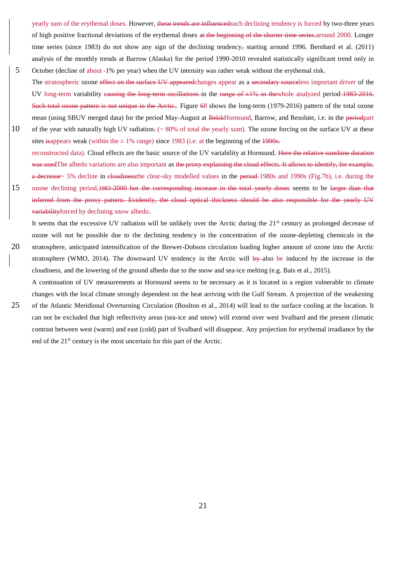yearly sum of the erythemal doses. However, these trends are influenced such declining tendency is forced by two-three years of high positive fractional deviations of the erythemal doses at the beginning of the shorter time series.around 2000. Longer time series (since 1983) do not show any sign of the declining tendency, starting around 1996. Bernhard et al. (2011) analysis of the monthly trends at Barrow (Alaska) for the period 1990-2010 revealed statistically significant trend only in 5 October (decline of about -1% per year) when the UV intensity was rather weak without the erythemal risk.

- The stratospheric ozone effect on the surface UV appeared changes appear as a secondary sourceless important driver of the UV long-term variability causing the long-term oscillations in the range of  $\pm 1\%$  in thewhole analyzed period 1983-2016. Such total ozone pattern is not unique in the Arctic.. Figure 68 shows the long-term (1979-2016) pattern of the total ozone mean (using SBUV merged data) for the period May-August at BelskHornsund, Barrow, and Resolute, i.e. in the periodpart 10 of the year with naturally high UV radiation. (~80% of total the yearly sum). The ozone forcing on the surface UV at these
- sites isappears weak (within the  $\pm$  1% range) since 1983 (i.e. at the beginning of the 1990s. reconstructed data). Cloud effects are the basic source of the UV variability at Hornsund. Here the relative sunshine duration was usedThe albedo variations are also important as the proxy explaining the cloud effects. It allows to identify, for example, a decrease~ 5% decline in cloudinessthe clear-sky modelled values in the period 1980s and 1990s (Fig.7b), i.e. during the 15 ozone declining period, 1983-2000 but the corresponding increase in the total yearly doses seems to be larger than that
- inferred from the proxy pattern. Evidently, the cloud optical thickness should be also responsible for the yearly UV variabilityforced by declining snow albedo.
- It seems that the excessive UV radiation will be unlikely over the Arctic during the  $21<sup>st</sup>$  century as prolonged decrease of ozone will not be possible due to the declining tendency in the concentration of the ozone-depleting chemicals in the 20 stratosphere, anticipated intensification of the Brewer-Dobson circulation loading higher amount of ozone into the Arctic stratosphere (WMO, 2014). The downward UV tendency in the Arctic will by-also be induced by the increase in the cloudiness, and the lowering of the ground albedo due to the snow and sea-ice melting (e.g. Bais et al., 2015).

A continuation of UV measurements at Hornsund seems to be necessary as it is located in a region vulnerable to climate

- 
- changes with the local climate strongly dependent on the heat arriving with the Gulf Stream. A projection of the weakening 25 of the Atlantic Meridional Overturning Circulation (Boulton et al., 2014) will lead to the surface cooling at the location. It can not be excluded that high reflectivity areas (sea-ice and snow) will extend over west Svalbard and the present climatic contrast between west (warm) and east (cold) part of Svalbard will disappear. Any projection for erythemal irradiance by the end of the 21st century is the most uncertain for this part of the Arctic.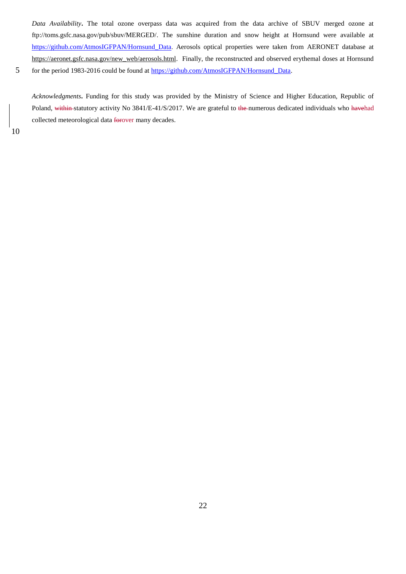*Data Availability***.** The total ozone overpass data was acquired from the data archive of SBUV merged ozone at ftp://toms.gsfc.nasa.gov/pub/sbuv/MERGED/. The sunshine duration and snow height at Hornsund were available at [https://github.com/AtmosIGFPAN/Hornsund\\_Data](https://github.com/AtmosIGFPAN/Hornsund_Data). Aerosols optical properties were taken from AERONET database at [https://aeronet.gsfc.nasa.gov/new\\_web/aerosols.html.](https://aeronet.gsfc.nasa.gov/new_web/aerosols.html) Finally, the reconstructed and observed erythemal doses at Hornsund 5 for the period 1983-2016 could be found at [https://github.com/AtmosIGFPAN/Hornsund\\_Data.](https://github.com/AtmosIGFPAN/Hornsund_Data)

*Acknowledgments***.** Funding for this study was provided by the Ministry of Science and Higher Education, Republic of Poland, within statutory activity No 3841/E-41/S/2017. We are grateful to the numerous dedicated individuals who havehad collected meteorological data forover many decades.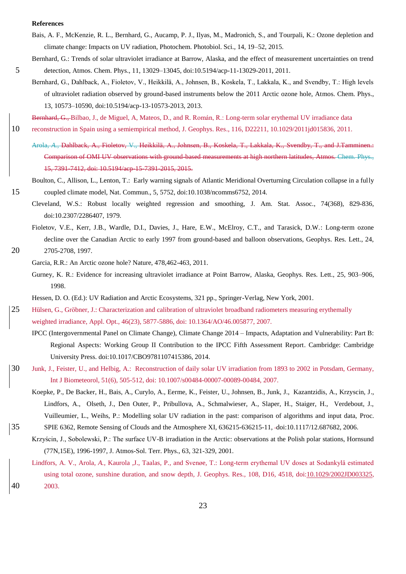#### **References**

- Bais, A. F., McKenzie, R. L., Bernhard, G., Aucamp, P. J., Ilyas, M., Madronich, S., and Tourpali, K.: Ozone depletion and climate change: Impacts on UV radiation, Photochem. Photobiol. Sci., 14, 19–52, 2015.
- Bernhard, G.: Trends of solar ultraviolet irradiance at Barrow, Alaska, and the effect of measurement uncertainties on trend 5 detection, Atmos. Chem. Phys., 11, 13029–13045, doi:10.5194/acp-11-13029-2011, 2011.
	- Bernhard, G., Dahlback, A., Fioletov, V., Heikkilä, A., Johnsen, B., Koskela, T., Lakkala, K., and Svendby, T.: High levels of ultraviolet radiation observed by ground-based instruments below the 2011 Arctic ozone hole, Atmos. Chem. Phys., 13, 10573–10590, doi:10.5194/acp-13-10573-2013, 2013.

Bernhard, G., Bilbao, J., de Miguel, A, Mateos, D., and R. Román, R.: Long-term solar erythemal UV irradiance data

- 10 reconstruction in Spain using a semiempirical method, J. Geophys. Res., 116, D22211, 10.1029/2011jd015836, 2011.
	- Arola*, A.,* Dahlback, A., Fioletov, V.*,* Heikkilä, A., Johnsen, B., Koskela, T., Lakkala, K., Svendby, T., and J.Tamminen.: Comparison of OMI UV observations with ground-based measurements at high northern latitudes, Atmos. Chem. Phys., 15, 7391-7412, doi: 10.5194/acp-15-7391-2015, 2015.

# Boulton, C., Allison, L., Lenton, T.: Early warning signals of Atlantic Meridional Overturning Circulation collapse in a fully 15 coupled climate model, Nat. Commun., 5, 5752, doi:10.1038/ncomms6752, 2014.

- Cleveland, W.S.: Robust locally weighted regression and smoothing, J. Am. Stat. Assoc., 74(368), 829-836, doi:10.2307/2286407, 1979.
- Fioletov, V.E., Kerr, J.B., Wardle, D.I., Davies, J., Hare, E.W., McElroy, C.T., and Tarasick, D.W.: Long-term ozone decline over the Canadian Arctic to early 1997 from ground-based and balloon observations, Geophys. Res. Lett., 24, 20 2705-2708, 1997.

Garcia, R.R.: An Arctic ozone hole? Nature, 478,462-463, 2011.

Gurney, K. R.: Evidence for increasing ultraviolet irradiance at Point Barrow, Alaska, Geophys. Res. Lett., 25, 903–906, 1998.

Hessen, D. O. (Ed.): UV Radiation and Arctic Ecosystems, 321 pp., Springer-Verlag, New York, 2001.

- 25 Hülsen, G., Gröbner, J.: Characterization and calibration of ultraviolet broadband radiometers measuring erythemally weighted irradiance, Appl. Opt., 46(23), 5877-5886, doi: 10.1364/AO/46.005877, 2007.
	- IPCC (Intergovernmental Panel on Climate Change), Climate Change 2014 Impacts, Adaptation and Vulnerability: Part B: Regional Aspects: Working Group II Contribution to the IPCC Fifth Assessment Report. Cambridge: Cambridge University Press. doi:10.1017/CBO9781107415386, 2014.
- 30 Junk, J., Feister, U., and Helbig, A.: Reconstruction of daily solar UV irradiation from 1893 to 2002 in Potsdam, Germany, Int J Biometeorol, 51(6), 505-512, doi: 10.1007/s00484-00007-00089-00484, 2007.
	- Koepke, P., De Backer, H., Bais, A., Curylo, A., Eerme, K., Feister, U., Johnsen, B., Junk, J., Kazantzidis, A., Krzyscin, J., Lindfors, A., Olseth, J., Den Outer, P., Pribullova, A., Schmalwieser, A., Slaper, H., Staiger, H., Verdebout, J., Vuilleumier, L., Weihs, P.: Modelling solar UV radiation in the past: comparison of algorithms and input data, Proc.
- 35 SPIE 6362, Remote Sensing of Clouds and the Atmosphere XI, 636215-636215-11, doi:10.1117/12.687682, 2006.
	- Krzyścin, J., Sobolewski, P.: The surface UV-B irradiation in the Arctic: observations at the Polish polar stations, Hornsund (77N,15E), 1996-1997, J. Atmos-Sol. Terr. Phys., 63, 321-329, 2001.
- Lindfors, A. V.*,* Arola*, A.,* Kaurola *,*J., Taalas*,* P*.,* and Svenøe, T.: Long-term erythemal UV doses at Sodankylä estimated using total ozone, sunshine duration, and snow depth*,* J. Geophys. Res.*,* 108*,* D16*,* 4518*,* do[i:10.1029/2002JD003325,](http://dx.doi.org/10.1029/2002JD003325) 40 2003.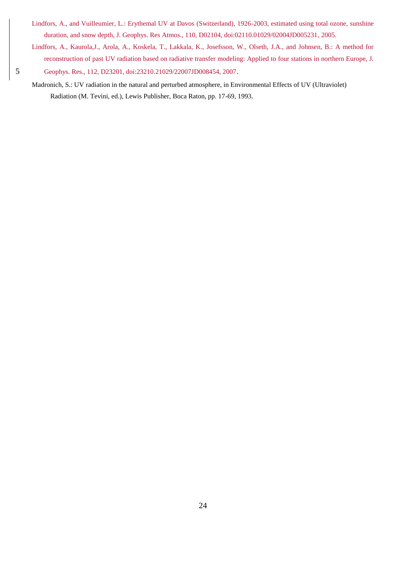- Lindfors, A., and Vuilleumier, L.: Erythemal UV at Davos (Switzerland), 1926-2003, estimated using total ozone, sunshine duration, and snow depth, J. Geophys. Res Atmos., 110, D02104, doi:02110.01029/02004JD005231, 2005.
- Lindfors, A., Kaurola,J., Arola, A., Koskela, T., Lakkala, K., Josefsson, W., Olseth, J.A., and Johnsen, B.: A method for reconstruction of past UV radiation based on radiative transfer modeling: Applied to four stations in northern Europe, J. 5 Geophys. Res., 112, D23201, doi:23210.21029/22007JD008454, 2007.
	- Madronich, S.: UV radiation in the natural and perturbed atmosphere, in Environmental Effects of UV (Ultraviolet) Radiation (M. Tevini, ed.), Lewis Publisher, Boca Raton, pp. 17-69, 1993.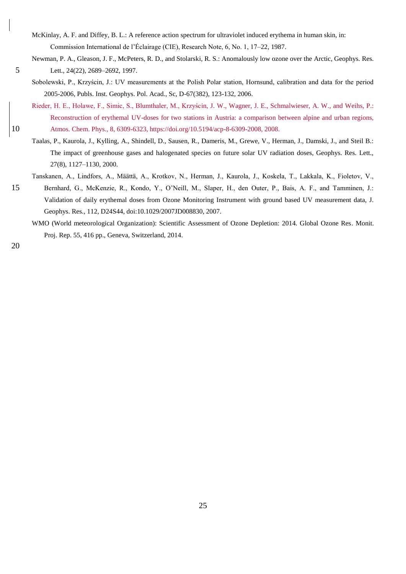- McKinlay, A. F. and Diffey, B. L.: A reference action spectrum for ultraviolet induced erythema in human skin, in: Commission International de l'Éclairage (CIE), Research Note, 6, No. 1, 17–22, 1987.
- Newman, P. A., Gleason, J. F., McPeters, R. D., and Stolarski, R. S.: Anomalously low ozone over the Arctic, Geophys. Res. 5 Lett., 24(22), 2689–2692, 1997.
	- Sobolewski, P., Krzyścin, J.: UV measurements at the Polish Polar station, Hornsund, calibration and data for the period 2005-2006, Publs. Inst. Geophys. Pol. Acad., Sc, D-67(382), 123-132, 2006.
- Rieder, H. E., Holawe, F., Simic, S., Blumthaler, M., Krzyścin, J. W., Wagner, J. E., Schmalwieser, A. W., and Weihs, P.: Reconstruction of erythemal UV-doses for two stations in Austria: a comparison between alpine and urban regions, 10 Atmos. Chem. Phys., 8, 6309-6323, https://doi.org/10.5194/acp-8-6309-2008, 2008.
	- Taalas, P., Kaurola, J., Kylling, A., Shindell, D., Sausen, R., Dameris, M., Grewe, V., Herman, J., Damski, J., and Steil B.: The impact of greenhouse gases and halogenated species on future solar UV radiation doses, Geophys. Res. Lett., 27(8), 1127–1130, 2000.
	- Tanskanen, A., Lindfors, A., Määttä, A., Krotkov, N., Herman, J., Kaurola, J., Koskela, T., Lakkala, K., Fioletov, V.,
- 15 Bernhard, G., McKenzie, R., Kondo, Y., O'Neill, M., Slaper, H., den Outer, P., Bais, A. F., and Tamminen, J.: Validation of daily erythemal doses from Ozone Monitoring Instrument with ground based UV measurement data, J. Geophys. Res., 112, D24S44, doi:10.1029/2007JD008830, 2007.
	- WMO (World meteorological Organization): Scientific Assessment of Ozone Depletion: 2014. Global Ozone Res. Monit. Proj. Rep. 55, 416 pp., Geneva, Switzerland, 2014.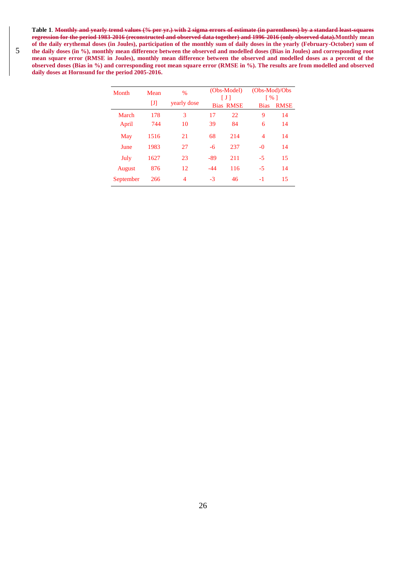**Table 1**. **Monthly and yearly trend values (% per yr.) with 2 sigma errors of estimate (in parentheses) by a standard least-squares regression for the period 1983-2016 (reconstructed and observed data together) and 1996-2016 (only observed data).Monthly mean of the daily erythemal doses (in Joules), participation of the monthly sum of daily doses in the yearly (February-October) sum of**  5 the daily doses (in %), monthly mean difference between the observed and modelled doses (Bias in Joules) and corresponding root **mean square error (RMSE in Joules), monthly mean difference between the observed and modelled doses as a percent of the observed doses (Bias in %) and corresponding root mean square error (RMSE in %). The results are from modelled and observed daily doses at Hornsund for the period 2005-2016.** 

| Month     | Mean | $\%$        |       | (Obs-Model)<br>ПI | $(Obs-Mod)/Obs$<br>$\lceil 96 \rceil$ |             |
|-----------|------|-------------|-------|-------------------|---------------------------------------|-------------|
|           | IJ   | yearly dose |       | <b>Bias RMSE</b>  | <b>Bias</b>                           | <b>RMSE</b> |
| March     | 178  | 3           | 17    | 22                | 9                                     | 14          |
| April     | 744  | 10          | 39    | 84                | 6                                     | 14          |
| May       | 1516 | 21          | 68    | 214               | 4                                     | 14          |
| June      | 1983 | 27          | $-6$  | 237               | $-0$                                  | 14          |
| July      | 1627 | 23          | $-89$ | 211               | $-5$                                  | 15          |
| August    | 876  | 12          | $-44$ | 116               | $-5$                                  | 14          |
| September | 266  | 4           | $-3$  | 46                | -1                                    | 15          |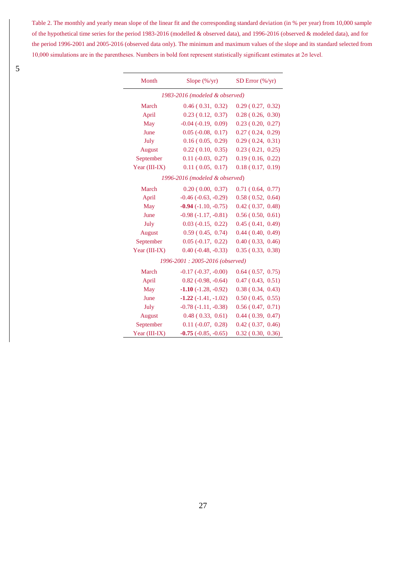Table 2. The monthly and yearly mean slope of the linear fit and the corresponding standard deviation (in % per year) from 10,000 sample of the hypothetical time series for the period 1983-2016 (modelled & observed data), and 1996-2016 (observed & modeled data), and for the period 1996-2001 and 2005-2016 (observed data only). The minimum and maximum values of the slope and its standard selected from 10,000 simulations are in the parentheses. Numbers in bold font represent statistically significant estimates at 2σ level.

e<br>He

| Month                            | Slope (%/yr)                  | SD Error $(\frac{6}{yr})$ |  |  |  |  |
|----------------------------------|-------------------------------|---------------------------|--|--|--|--|
|                                  |                               |                           |  |  |  |  |
| 1983-2016 (modeled & observed)   |                               |                           |  |  |  |  |
| March                            | 0.46(0.31, 0.32)              | 0.29(0.27, 0.32)          |  |  |  |  |
| April                            | 0.23(0.12, 0.37)              | 0.28(0.26, 0.30)          |  |  |  |  |
| May                              | $-0.04$ $(-0.19, 0.09)$       | 0.23(0.20, 0.27)          |  |  |  |  |
| June                             | $0.05$ ( $-0.08$ , $0.17$ )   | 0.27(0.24, 0.29)          |  |  |  |  |
| July                             | 0.16(0.05, 0.29)              | 0.29(0.24, 0.31)          |  |  |  |  |
| August                           | $0.22$ (0.10, 0.35)           | 0.23(0.21, 0.25)          |  |  |  |  |
| September                        | $0.11 (-0.03, 0.27)$          | 0.19(0.16, 0.22)          |  |  |  |  |
| Year $(III-IX)$                  | 0.11(0.05, 0.17)              | 0.18(0.17, 0.19)          |  |  |  |  |
| 1996-2016 (modeled & observed)   |                               |                           |  |  |  |  |
| March                            | 0.20(0.00, 0.37)              | 0.71(0.64, 0.77)          |  |  |  |  |
| April                            | $-0.46$ $(-0.63, -0.29)$      | 0.58(0.52, 0.64)          |  |  |  |  |
| May                              | $-0.94$ ( $-1.10$ , $-0.75$ ) | 0.42(0.37, 0.48)          |  |  |  |  |
| June                             | $-0.98(-1.17, -0.81)$         | 0.56(0.50, 0.61)          |  |  |  |  |
| July                             | $0.03$ ( $-0.15$ , $0.22$ )   | 0.45(0.41, 0.49)          |  |  |  |  |
| <b>August</b>                    | 0.59(0.45, 0.74)              | 0.44(0.40, 0.49)          |  |  |  |  |
| September                        | $0.05$ ( $-0.17$ , $0.22$ )   | 0.40(0.33, 0.46)          |  |  |  |  |
| Year $(III-IX)$                  | $0.40$ ( $-0.48$ , $-0.33$ )  | 0.35(0.33, 0.38)          |  |  |  |  |
| 1996-2001 : 2005-2016 (observed) |                               |                           |  |  |  |  |
| March                            | $-0.17$ $(-0.37, -0.00)$      | 0.64(0.57, 0.75)          |  |  |  |  |
| April                            | $0.82$ ( $-0.98$ , $-0.64$ )  | 0.47(0.43, 0.51)          |  |  |  |  |
| May                              | $-1.10(-1.28, -0.92)$         | 0.38(0.34, 0.43)          |  |  |  |  |
| June                             | $-1.22(-1.41,-1.02)$          | 0.50(0.45, 0.55)          |  |  |  |  |
| July                             | $-0.78(-1.11,-0.38)$          | 0.56(0.47, 0.71)          |  |  |  |  |
| August                           | 0.48(0.33, 0.61)              | 0.44(0.39, 0.47)          |  |  |  |  |
| September                        | $0.11$ ( $-0.07$ , $0.28$ )   | 0.42(0.37, 0.46)          |  |  |  |  |
| Year (III-IX)                    | $-0.75$ ( $-0.85$ , $-0.65$ ) | 0.32(0.30, 0.36)          |  |  |  |  |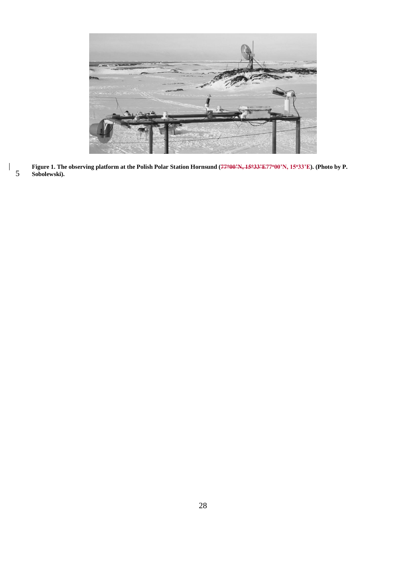

28

**Figure 1. The observing platform at the Polish Polar Station Hornsund (7700'N, 1533'E77<sup>o</sup>00'N, 15<sup>o</sup>33'E). (Photo by P.**  5 **Sobolewski).**

 $\overline{\phantom{a}}$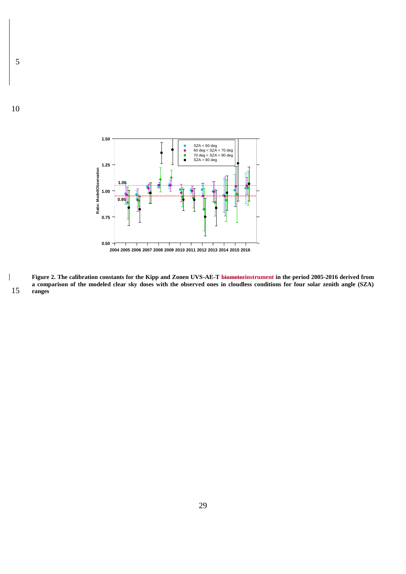

**Figure 2. The calibration constants for the Kipp and Zonen UVS-AE-T biometerinstrument in the period 2005-2016 derived from a comparison of the modeled clear sky doses with the observed ones in cloudless conditions for four solar zenith angle (SZA)**  15 **ranges**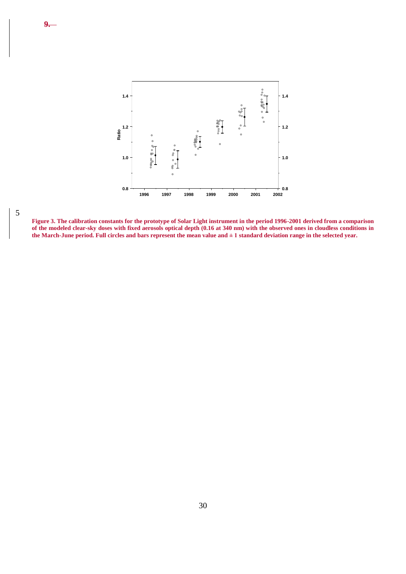



**9.**

**Figure 3. The calibration constants for the prototype of Solar Light instrument in the period 1996-2001 derived from a comparison of the modeled clear-sky doses with fixed aerosols optical depth (0.16 at 340 nm) with the observed ones in cloudless conditions in the March-June period. Full circles and bars represent the mean value and ± 1 standard deviation range in the selected year.**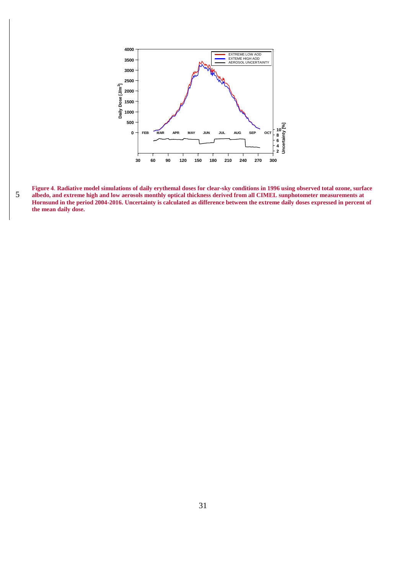

**Figure 4**. **Radiative model simulations of daily erythemal doses for clear-sky conditions in 1996 using observed total ozone, surface albedo, and extreme high and low aerosols monthly optical thickness derived from all CIMEL sunphotometer measurements at Hornsund in the period 2004-2016. Uncertainty is calculated as difference between the extreme daily doses expressed in percent of the mean daily dose.**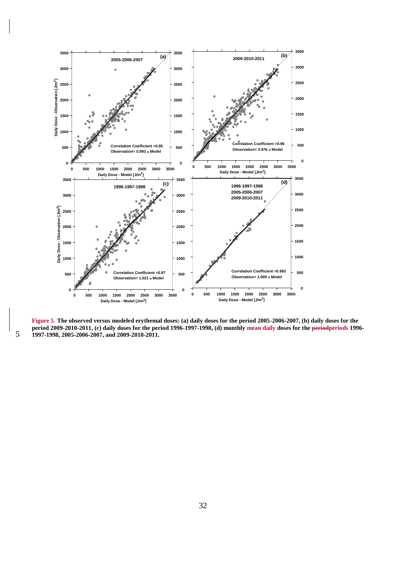

**Figure 5**. **The observed versus modeled erythemal doses: (a) daily doses for the period 2005-2006-2007, (b) daily doses for the period 2009-2010-2011, (c) daily doses for the period 1996-1997-1998, (d) monthly mean daily doses for the periodperiods 1996- 1997-1998, 2005-2006-2007, and 2009-2010-2011.**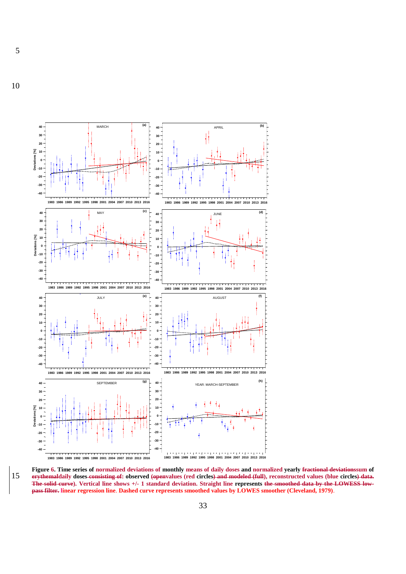10

5



**Figure 6. Time series of normalized deviations of monthly means of daily doses and normalized yearly fractional deviationssum of**  15 **erythemaldaily doses consisting of: observed (openvalues (red circles) and modeled (full), reconstructed values (blue circles) data. The solid curve). Vertical line shows +/- 1 standard deviation. Straight line represents the smoothed data by the LOWESS lowpass filter. linear regression line**. **Dashed curve represents smoothed values by LOWES smoother (Cleveland, 1979)**.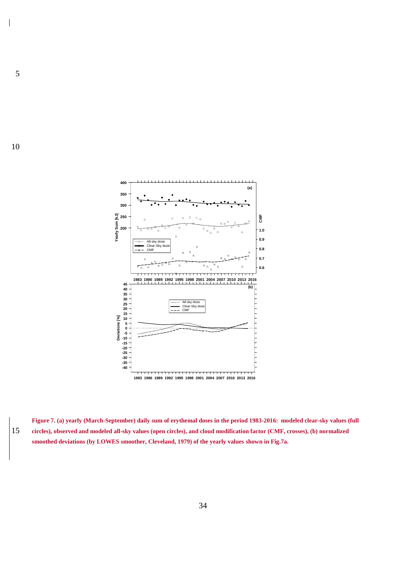

**Figure 7. (a) yearly (March-September) daily sum of erythemal doses in the period 1983-2016: modeled clear-sky values (full**  15 **circles), observed and modeled all-sky values (open circles), and cloud modification factor (CMF, crosses), (b) normalized smoothed deviations (by LOWES smoother, Cleveland, 1979) of the yearly values shown in Fig.7a.**

5